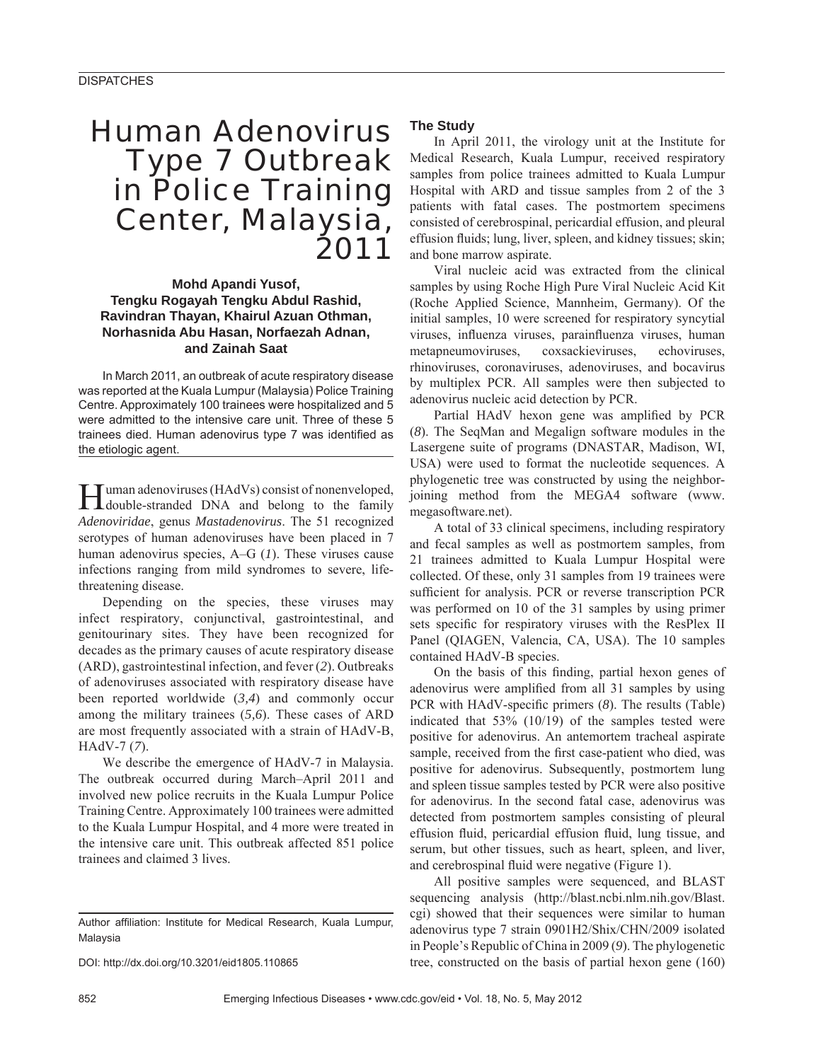## Human Adenovirus Type 7 Outbreak in Police Training Center, Malaysia, 2011

**Mohd Apandi Yusof, Tengku Rogayah Tengku Abdul Rashid, Ravindran Thayan, Khairul Azuan Othman, Norhasnida Abu Hasan, Norfaezah Adnan, and Zainah Saat**

In March 2011, an outbreak of acute respiratory disease was reported at the Kuala Lumpur (Malaysia) Police Training Centre. Approximately 100 trainees were hospitalized and 5 were admitted to the intensive care unit. Three of these 5 trainees died. Human adenovirus type 7 was identified as the etiologic agent.

Human adenoviruses (HAdVs) consist of nonenveloped,<br>double-stranded DNA and belong to the family *Adenoviridae*, genus *Mastadenovirus*. The 51 recognized serotypes of human adenoviruses have been placed in 7 human adenovirus species, A–G (*1*). These viruses cause infections ranging from mild syndromes to severe, lifethreatening disease.

Depending on the species, these viruses may infect respiratory, conjunctival, gastrointestinal, and genitourinary sites. They have been recognized for decades as the primary causes of acute respiratory disease (ARD), gastrointestinal infection, and fever (*2*). Outbreaks of adenoviruses associated with respiratory disease have been reported worldwide (*3,4*) and commonly occur among the military trainees (*5,6*). These cases of ARD are most frequently associated with a strain of HAdV-B, HAdV-7 (*7*).

We describe the emergence of HAdV-7 in Malaysia. The outbreak occurred during March–April 2011 and involved new police recruits in the Kuala Lumpur Police Training Centre. Approximately 100 trainees were admitted to the Kuala Lumpur Hospital, and 4 more were treated in the intensive care unit. This outbreak affected 851 police trainees and claimed 3 lives.

DOI: http://dx.doi.org/10.3201/eid1805.110865

#### **The Study**

In April 2011, the virology unit at the Institute for Medical Research, Kuala Lumpur, received respiratory samples from police trainees admitted to Kuala Lumpur Hospital with ARD and tissue samples from 2 of the 3 patients with fatal cases. The postmortem specimens consisted of cerebrospinal, pericardial effusion, and pleural effusion fluids; lung, liver, spleen, and kidney tissues; skin; and bone marrow aspirate.

Viral nucleic acid was extracted from the clinical samples by using Roche High Pure Viral Nucleic Acid Kit (Roche Applied Science, Mannheim, Germany). Of the initial samples, 10 were screened for respiratory syncytial viruses, influenza viruses, parainfluenza viruses, human metapneumoviruses, coxsackieviruses, echoviruses, rhinoviruses, coronaviruses, adenoviruses, and bocavirus by multiplex PCR. All samples were then subjected to adenovirus nucleic acid detection by PCR.

Partial HAdV hexon gene was amplified by PCR (*8*). The SeqMan and Megalign software modules in the Lasergene suite of programs (DNASTAR, Madison, WI, USA) were used to format the nucleotide sequences. A phylogenetic tree was constructed by using the neighborjoining method from the MEGA4 software (www. megasoftware.net).

A total of 33 clinical specimens, including respiratory and fecal samples as well as postmortem samples, from 21 trainees admitted to Kuala Lumpur Hospital were collected. Of these, only 31 samples from 19 trainees were sufficient for analysis. PCR or reverse transcription PCR was performed on 10 of the 31 samples by using primer sets specific for respiratory viruses with the ResPlex II Panel (QIAGEN, Valencia, CA, USA). The 10 samples contained HAdV-B species.

On the basis of this finding, partial hexon genes of adenovirus were amplified from all 31 samples by using PCR with HAdV-specific primers (8). The results (Table) indicated that 53% (10/19) of the samples tested were positive for adenovirus. An antemortem tracheal aspirate sample, received from the first case-patient who died, was positive for adenovirus. Subsequently, postmortem lung and spleen tissue samples tested by PCR were also positive for adenovirus. In the second fatal case, adenovirus was detected from postmortem samples consisting of pleural effusion fluid, pericardial effusion fluid, lung tissue, and serum, but other tissues, such as heart, spleen, and liver, and cerebrospinal fluid were negative (Figure 1).

All positive samples were sequenced, and BLAST sequencing analysis (http://blast.ncbi.nlm.nih.gov/Blast. cgi) showed that their sequences were similar to human adenovirus type 7 strain 0901H2/Shix/CHN/2009 isolated in People's Republic of China in 2009 (*9*). The phylogenetic tree, constructed on the basis of partial hexon gene (160)

Author affiliation: Institute for Medical Research, Kuala Lumpur, Malaysia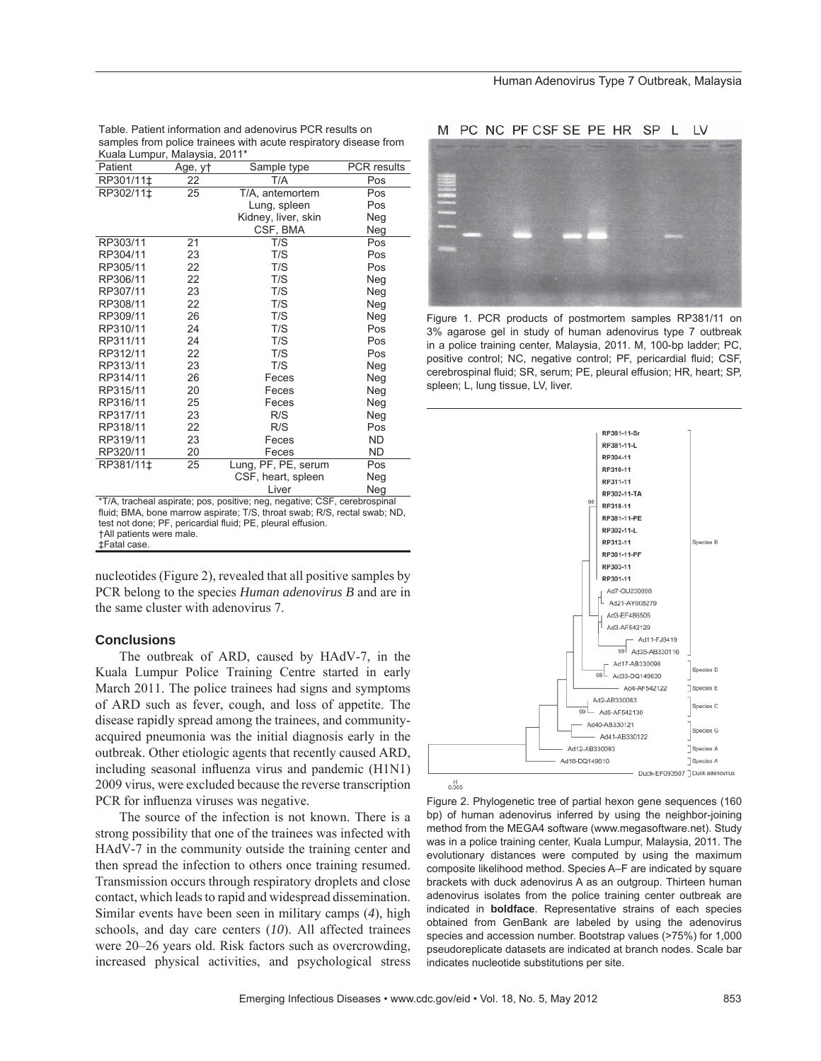Table. Patient information and adenovirus PCR results on samples from police trainees with acute respiratory disease from Kuala Lumpur, Malaysia, 2011\*

| Patient   | Age, y† | Sample type         | PCR results |
|-----------|---------|---------------------|-------------|
| RP301/11‡ | 22      | T/A                 | Pos         |
| RP302/11‡ | 25      | T/A, antemortem     | Pos         |
|           |         | Lung, spleen        | Pos         |
|           |         | Kidney, liver, skin | Neg         |
|           |         | CSF, BMA            | Neg         |
| RP303/11  | 21      | T/S                 | Pos         |
| RP304/11  | 23      | T/S                 | Pos         |
| RP305/11  | 22      | T/S                 | Pos         |
| RP306/11  | 22      | T/S                 | Neg         |
| RP307/11  | 23      | T/S                 | Neg         |
| RP308/11  | 22      | T/S                 | Neg         |
| RP309/11  | 26      | T/S                 | Neg         |
| RP310/11  | 24      | T/S                 | Pos         |
| RP311/11  | 24      | T/S                 | Pos         |
| RP312/11  | 22      | T/S                 | Pos         |
| RP313/11  | 23      | T/S                 | Neg         |
| RP314/11  | 26      | Feces               | Neg         |
| RP315/11  | 20      | Feces               | Neg         |
| RP316/11  | 25      | Feces               | Neg         |
| RP317/11  | 23      | R/S                 | Neg         |
| RP318/11  | 22      | R/S                 | Pos         |
| RP319/11  | 23      | Feces               | <b>ND</b>   |
| RP320/11  | 20      | Feces               | ND          |
| RP381/11‡ | 25      | Lung, PF, PE, serum | Pos         |
|           |         | CSF, heart, spleen  | Neg         |
|           |         | Liver               | Neg         |

\*T/A, tracheal aspirate; pos, positive; neg, negative; CSF, cerebrospinal fluid; BMA, bone marrow aspirate; T/S, throat swab; R/S, rectal swab; ND, test not done; PF, pericardial fluid; PE, pleural effusion. †All patients were male. ‡Fatal case.

nucleotides (Figure 2), revealed that all positive samples by PCR belong to the species *Human adenovirus B* and are in the same cluster with adenovirus 7.

### **Conclusions**

The outbreak of ARD, caused by HAdV-7, in the Kuala Lumpur Police Training Centre started in early March 2011. The police trainees had signs and symptoms of ARD such as fever, cough, and loss of appetite. The disease rapidly spread among the trainees, and communityacquired pneumonia was the initial diagnosis early in the outbreak. Other etiologic agents that recently caused ARD, including seasonal influenza virus and pandemic (H1N1) 2009 virus, were excluded because the reverse transcription PCR for influenza viruses was negative.

The source of the infection is not known. There is a strong possibility that one of the trainees was infected with HAdV-7 in the community outside the training center and then spread the infection to others once training resumed. Transmission occurs through respiratory droplets and close contact, which leads to rapid and widespread dissemination. Similar events have been seen in military camps (*4*), high schools, and day care centers (*10*). All affected trainees were 20–26 years old. Risk factors such as overcrowding, increased physical activities, and psychological stress

#### M PC NC PF CSF SE PE HR SP L LV



Figure 1. PCR products of postmortem samples RP381/11 on 3% agarose gel in study of human adenovirus type 7 outbreak in a police training center, Malaysia, 2011. M, 100-bp ladder; PC, positive control; NC, negative control; PF, pericardial fluid; CSF, cerebrospinal fluid; SR, serum; PE, pleural effusion; HR, heart; SP, spleen; L, lung tissue, LV, liver.



Figure 2. Phylogenetic tree of partial hexon gene sequences (160 bp) of human adenovirus inferred by using the neighbor-joining method from the MEGA4 software (www.megasoftware.net). Study was in a police training center, Kuala Lumpur, Malaysia, 2011. The evolutionary distances were computed by using the maximum composite likelihood method. Species A–F are indicated by square brackets with duck adenovirus A as an outgroup. Thirteen human adenovirus isolates from the police training center outbreak are indicated in **boldface**. Representative strains of each species obtained from GenBank are labeled by using the adenovirus species and accession number. Bootstrap values (>75%) for 1,000 pseudoreplicate datasets are indicated at branch nodes. Scale bar indicates nucleotide substitutions per site.